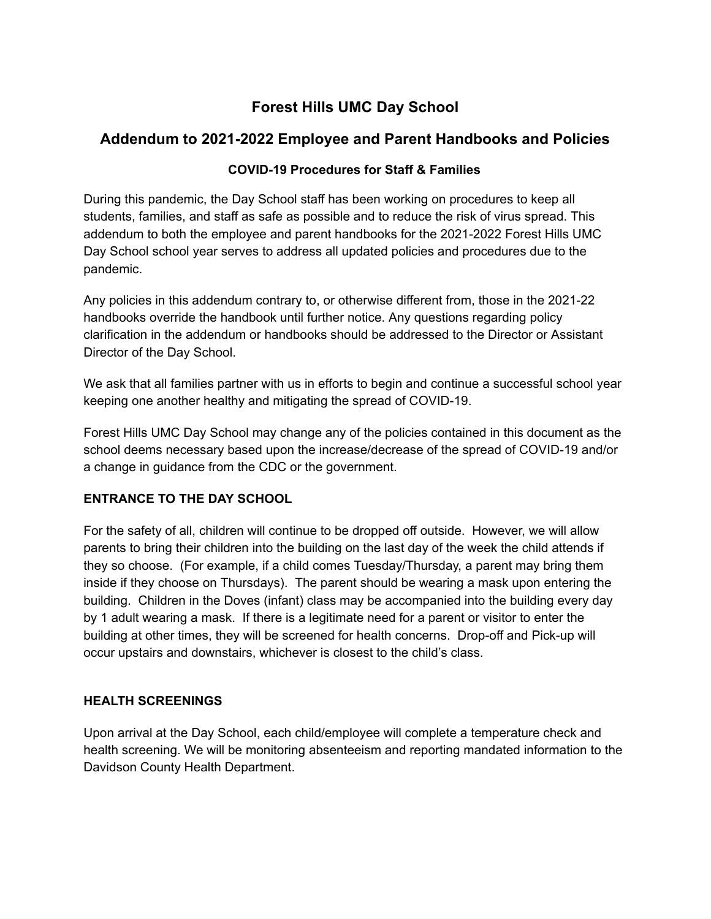# **Forest Hills UMC Day School**

# **Addendum to 2021-2022 Employee and Parent Handbooks and Policies**

## **COVID-19 Procedures for Staff & Families**

During this pandemic, the Day School staff has been working on procedures to keep all students, families, and staff as safe as possible and to reduce the risk of virus spread. This addendum to both the employee and parent handbooks for the 2021-2022 Forest Hills UMC Day School school year serves to address all updated policies and procedures due to the pandemic.

Any policies in this addendum contrary to, or otherwise different from, those in the 2021-22 handbooks override the handbook until further notice. Any questions regarding policy clarification in the addendum or handbooks should be addressed to the Director or Assistant Director of the Day School.

We ask that all families partner with us in efforts to begin and continue a successful school year keeping one another healthy and mitigating the spread of COVID-19.

Forest Hills UMC Day School may change any of the policies contained in this document as the school deems necessary based upon the increase/decrease of the spread of COVID-19 and/or a change in guidance from the CDC or the government.

## **ENTRANCE TO THE DAY SCHOOL**

For the safety of all, children will continue to be dropped off outside. However, we will allow parents to bring their children into the building on the last day of the week the child attends if they so choose. (For example, if a child comes Tuesday/Thursday, a parent may bring them inside if they choose on Thursdays). The parent should be wearing a mask upon entering the building. Children in the Doves (infant) class may be accompanied into the building every day by 1 adult wearing a mask. If there is a legitimate need for a parent or visitor to enter the building at other times, they will be screened for health concerns. Drop-off and Pick-up will occur upstairs and downstairs, whichever is closest to the child's class.

## **HEALTH SCREENINGS**

Upon arrival at the Day School, each child/employee will complete a temperature check and health screening. We will be monitoring absenteeism and reporting mandated information to the Davidson County Health Department.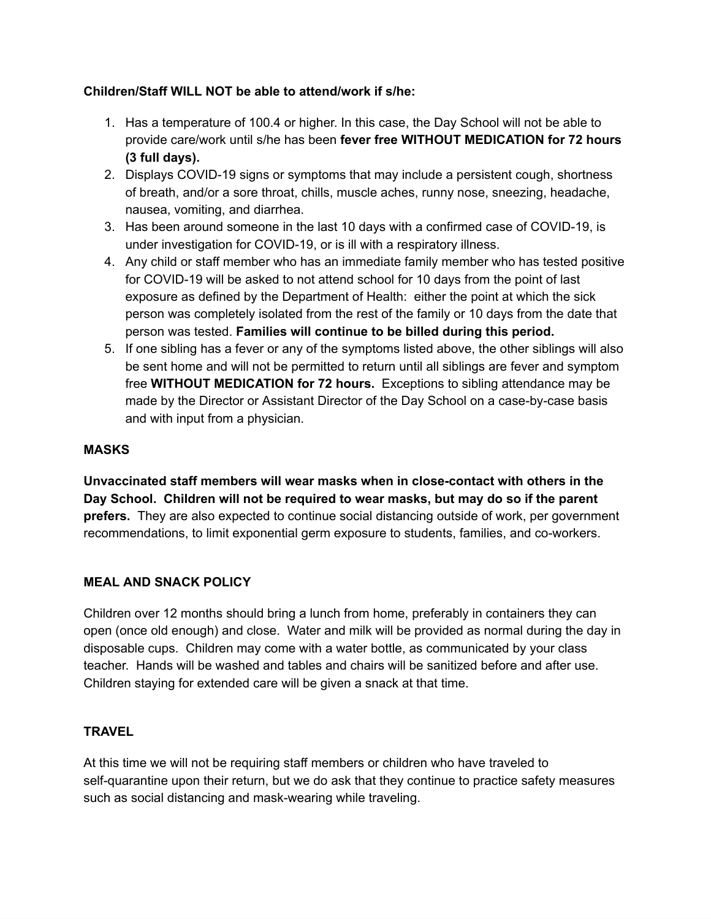## **Children/Staff WILL NOT be able to attend/work if s/he:**

- 1. Has a temperature of 100.4 or higher. In this case, the Day School will not be able to provide care/work until s/he has been **fever free WITHOUT MEDICATION for 72 hours (3 full days).**
- 2. Displays COVID-19 signs or symptoms that may include a persistent cough, shortness of breath, and/or a sore throat, chills, muscle aches, runny nose, sneezing, headache, nausea, vomiting, and diarrhea.
- 3. Has been around someone in the last 10 days with a confirmed case of COVID-19, is under investigation for COVID-19, or is ill with a respiratory illness.
- 4. Any child or staff member who has an immediate family member who has tested positive for COVID-19 will be asked to not attend school for 10 days from the point of last exposure as defined by the Department of Health: either the point at which the sick person was completely isolated from the rest of the family or 10 days from the date that person was tested. **Families will continue to be billed during this period.**
- 5. If one sibling has a fever or any of the symptoms listed above, the other siblings will also be sent home and will not be permitted to return until all siblings are fever and symptom free **WITHOUT MEDICATION for 72 hours.** Exceptions to sibling attendance may be made by the Director or Assistant Director of the Day School on a case-by-case basis and with input from a physician.

### **MASKS**

**Unvaccinated staff members will wear masks when in close-contact with others in the Day School. Children will not be required to wear masks, but may do so if the parent prefers.** They are also expected to continue social distancing outside of work, per government recommendations, to limit exponential germ exposure to students, families, and co-workers.

#### **MEAL AND SNACK POLICY**

Children over 12 months should bring a lunch from home, preferably in containers they can open (once old enough) and close. Water and milk will be provided as normal during the day in disposable cups. Children may come with a water bottle, as communicated by your class teacher. Hands will be washed and tables and chairs will be sanitized before and after use. Children staying for extended care will be given a snack at that time.

#### **TRAVEL**

At this time we will not be requiring staff members or children who have traveled to self-quarantine upon their return, but we do ask that they continue to practice safety measures such as social distancing and mask-wearing while traveling.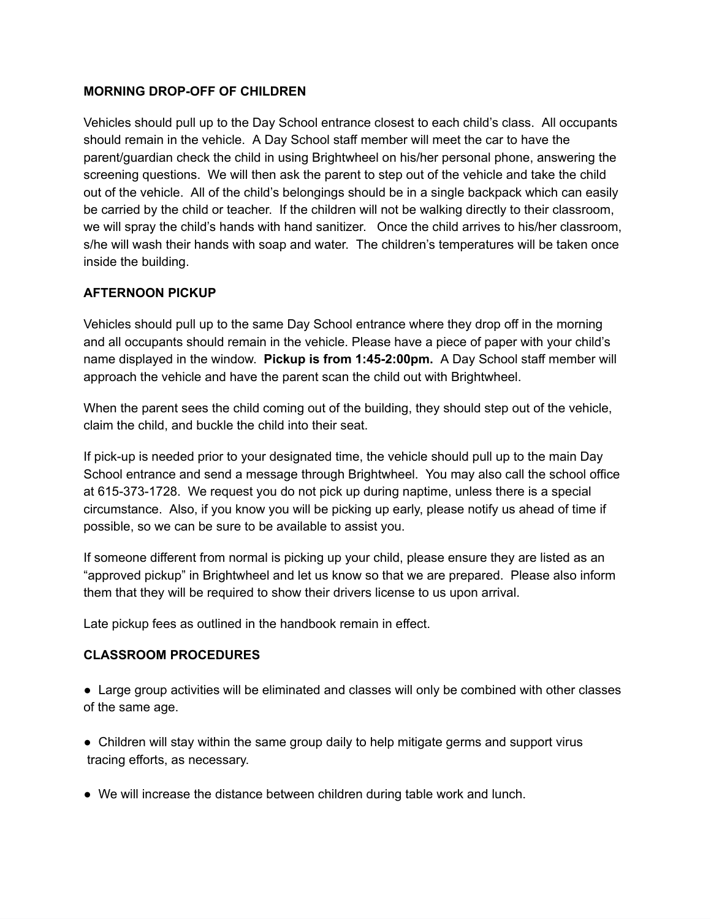### **MORNING DROP-OFF OF CHILDREN**

Vehicles should pull up to the Day School entrance closest to each child's class. All occupants should remain in the vehicle. A Day School staff member will meet the car to have the parent/guardian check the child in using Brightwheel on his/her personal phone, answering the screening questions. We will then ask the parent to step out of the vehicle and take the child out of the vehicle. All of the child's belongings should be in a single backpack which can easily be carried by the child or teacher. If the children will not be walking directly to their classroom, we will spray the child's hands with hand sanitizer. Once the child arrives to his/her classroom, s/he will wash their hands with soap and water. The children's temperatures will be taken once inside the building.

## **AFTERNOON PICKUP**

Vehicles should pull up to the same Day School entrance where they drop off in the morning and all occupants should remain in the vehicle. Please have a piece of paper with your child's name displayed in the window. **Pickup is from 1:45-2:00pm.** A Day School staff member will approach the vehicle and have the parent scan the child out with Brightwheel.

When the parent sees the child coming out of the building, they should step out of the vehicle, claim the child, and buckle the child into their seat.

If pick-up is needed prior to your designated time, the vehicle should pull up to the main Day School entrance and send a message through Brightwheel. You may also call the school office at 615-373-1728. We request you do not pick up during naptime, unless there is a special circumstance. Also, if you know you will be picking up early, please notify us ahead of time if possible, so we can be sure to be available to assist you.

If someone different from normal is picking up your child, please ensure they are listed as an "approved pickup" in Brightwheel and let us know so that we are prepared. Please also inform them that they will be required to show their drivers license to us upon arrival.

Late pickup fees as outlined in the handbook remain in effect.

#### **CLASSROOM PROCEDURES**

● Large group activities will be eliminated and classes will only be combined with other classes of the same age.

- Children will stay within the same group daily to help mitigate germs and support virus tracing efforts, as necessary.
- We will increase the distance between children during table work and lunch.